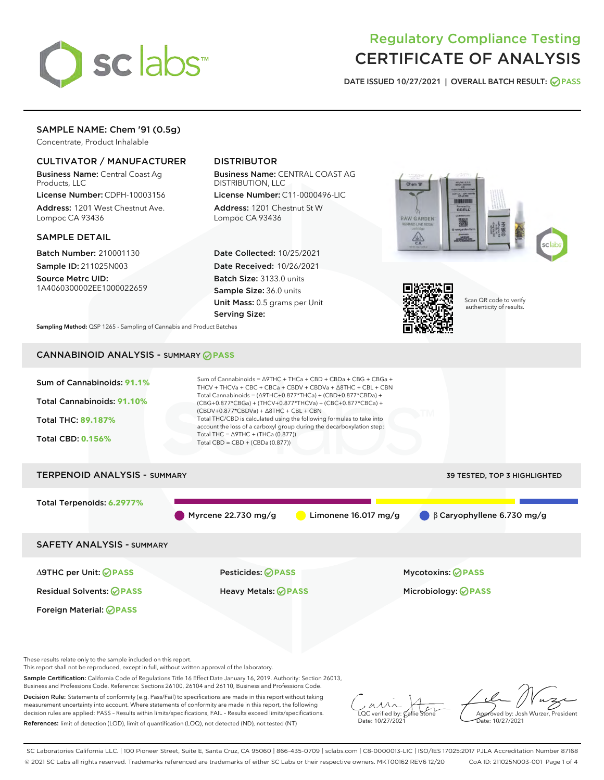

# Regulatory Compliance Testing CERTIFICATE OF ANALYSIS

DATE ISSUED 10/27/2021 | OVERALL BATCH RESULT: @ PASS

# SAMPLE NAME: Chem '91 (0.5g)

Concentrate, Product Inhalable

### CULTIVATOR / MANUFACTURER

Business Name: Central Coast Ag Products, LLC

License Number: CDPH-10003156 Address: 1201 West Chestnut Ave. Lompoc CA 93436

#### SAMPLE DETAIL

Batch Number: 210001130 Sample ID: 211025N003

Source Metrc UID: 1A4060300002EE1000022659

## DISTRIBUTOR

Business Name: CENTRAL COAST AG DISTRIBUTION, LLC

License Number: C11-0000496-LIC Address: 1201 Chestnut St W Lompoc CA 93436

Date Collected: 10/25/2021 Date Received: 10/26/2021 Batch Size: 3133.0 units Sample Size: 36.0 units Unit Mass: 0.5 grams per Unit Serving Size:





Scan QR code to verify authenticity of results.

Sampling Method: QSP 1265 - Sampling of Cannabis and Product Batches

### CANNABINOID ANALYSIS - SUMMARY **PASS**



Decision Rule: Statements of conformity (e.g. Pass/Fail) to specifications are made in this report without taking measurement uncertainty into account. Where statements of conformity are made in this report, the following decision rules are applied: PASS – Results within limits/specifications, FAIL – Results exceed limits/specifications. References: limit of detection (LOD), limit of quantification (LOQ), not detected (ND), not tested (NT)

 $\overline{\text{LOC}}$  verified by:  $\mathcal{C}$ Date: 10/27/2021

**A**<br>Approved by: Josh Wurzer, President ate: 10/27/2021

SC Laboratories California LLC. | 100 Pioneer Street, Suite E, Santa Cruz, CA 95060 | 866-435-0709 | sclabs.com | C8-0000013-LIC | ISO/IES 17025:2017 PJLA Accreditation Number 87168 © 2021 SC Labs all rights reserved. Trademarks referenced are trademarks of either SC Labs or their respective owners. MKT00162 REV6 12/20 CoA ID: 211025N003-001 Page 1 of 4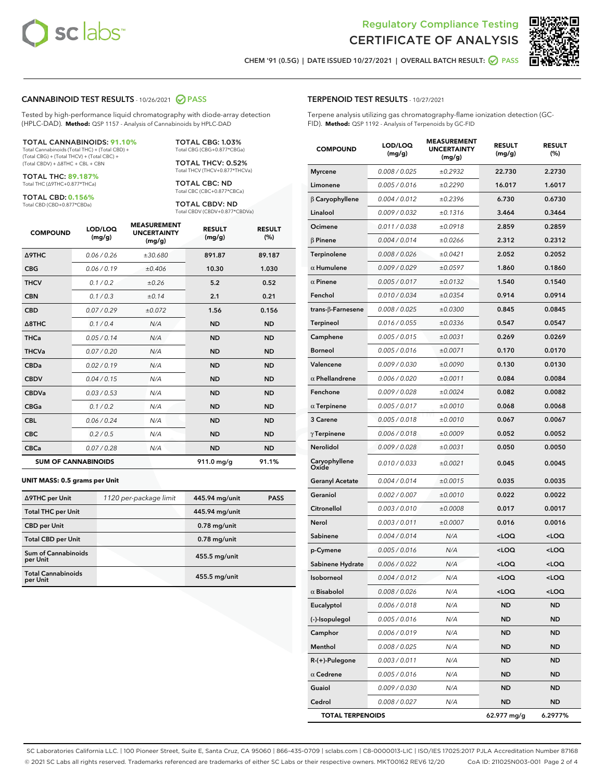



CHEM '91 (0.5G) | DATE ISSUED 10/27/2021 | OVERALL BATCH RESULT: ◯ PASS

#### CANNABINOID TEST RESULTS - 10/26/2021 2 PASS

Tested by high-performance liquid chromatography with diode-array detection (HPLC-DAD). **Method:** QSP 1157 - Analysis of Cannabinoids by HPLC-DAD

#### TOTAL CANNABINOIDS: **91.10%**

Total Cannabinoids (Total THC) + (Total CBD) + (Total CBG) + (Total THCV) + (Total CBC) + (Total CBDV) + ∆8THC + CBL + CBN

TOTAL THC: **89.187%** Total THC (∆9THC+0.877\*THCa)

TOTAL CBD: **0.156%**

Total CBD (CBD+0.877\*CBDa)

TOTAL CBG: 1.03% Total CBG (CBG+0.877\*CBGa)

TOTAL THCV: 0.52% Total THCV (THCV+0.877\*THCVa)

TOTAL CBC: ND Total CBC (CBC+0.877\*CBCa)

TOTAL CBDV: ND Total CBDV (CBDV+0.877\*CBDVa)

| <b>COMPOUND</b>  | LOD/LOQ<br>(mg/g)          | <b>MEASUREMENT</b><br><b>UNCERTAINTY</b><br>(mg/g) | <b>RESULT</b><br>(mg/g) | <b>RESULT</b><br>(%) |
|------------------|----------------------------|----------------------------------------------------|-------------------------|----------------------|
| <b>A9THC</b>     | 0.06 / 0.26                | ±30.680                                            | 891.87                  | 89.187               |
| <b>CBG</b>       | 0.06/0.19                  | ±0.406                                             | 10.30                   | 1.030                |
| <b>THCV</b>      | 0.1/0.2                    | ±0.26                                              | 5.2                     | 0.52                 |
| <b>CBN</b>       | 0.1/0.3                    | ±0.14                                              | 2.1                     | 0.21                 |
| <b>CBD</b>       | 0.07/0.29                  | ±0.072                                             | 1.56                    | 0.156                |
| $\triangle$ 8THC | 0.1/0.4                    | N/A                                                | <b>ND</b>               | <b>ND</b>            |
| <b>THCa</b>      | 0.05/0.14                  | N/A                                                | <b>ND</b>               | <b>ND</b>            |
| <b>THCVa</b>     | 0.07 / 0.20                | N/A                                                | <b>ND</b>               | <b>ND</b>            |
| <b>CBDa</b>      | 0.02/0.19                  | N/A                                                | <b>ND</b>               | <b>ND</b>            |
| <b>CBDV</b>      | 0.04 / 0.15                | N/A                                                | <b>ND</b>               | <b>ND</b>            |
| <b>CBDVa</b>     | 0.03/0.53                  | N/A                                                | <b>ND</b>               | <b>ND</b>            |
| <b>CBGa</b>      | 0.1 / 0.2                  | N/A                                                | <b>ND</b>               | <b>ND</b>            |
| <b>CBL</b>       | 0.06 / 0.24                | N/A                                                | <b>ND</b>               | <b>ND</b>            |
| <b>CBC</b>       | 0.2 / 0.5                  | N/A                                                | <b>ND</b>               | <b>ND</b>            |
| <b>CBCa</b>      | 0.07 / 0.28                | N/A                                                | <b>ND</b>               | <b>ND</b>            |
|                  | <b>SUM OF CANNABINOIDS</b> |                                                    | 911.0 mg/g              | 91.1%                |

#### **UNIT MASS: 0.5 grams per Unit**

| ∆9THC per Unit                         | 1120 per-package limit | 445.94 mg/unit  | <b>PASS</b> |
|----------------------------------------|------------------------|-----------------|-------------|
| <b>Total THC per Unit</b>              |                        | 445.94 mg/unit  |             |
| <b>CBD</b> per Unit                    |                        | $0.78$ mg/unit  |             |
| <b>Total CBD per Unit</b>              |                        | $0.78$ mg/unit  |             |
| <b>Sum of Cannabinoids</b><br>per Unit |                        | 455.5 mg/unit   |             |
| <b>Total Cannabinoids</b><br>per Unit  |                        | $455.5$ mg/unit |             |

| <b>COMPOUND</b>           | LOD/LOQ<br>(mg/g) | ASUREM<br><b>UNCERTAINTY</b><br>(mg/g) | <b>RESULT</b><br>(mg/g)                         | <b>RESULT</b><br>$(\%)$ |
|---------------------------|-------------------|----------------------------------------|-------------------------------------------------|-------------------------|
| <b>Myrcene</b>            | 0.008 / 0.025     | ±0.2932                                | 22.730                                          | 2.2730                  |
| Limonene                  | 0.005 / 0.016     | ±0.2290                                | 16.017                                          | 1.6017                  |
| $\beta$ Caryophyllene     | 0.004 / 0.012     | ±0.2396                                | 6.730                                           | 0.6730                  |
| Linalool                  | 0.009 / 0.032     | ±0.1316                                | 3.464                                           | 0.3464                  |
| Ocimene                   | 0.011 / 0.038     | ±0.0918                                | 2.859                                           | 0.2859                  |
| $\beta$ Pinene            | 0.004 / 0.014     | ±0.0266                                | 2.312                                           | 0.2312                  |
| Terpinolene               | 0.008 / 0.026     | ±0.0421                                | 2.052                                           | 0.2052                  |
| $\alpha$ Humulene         | 0.009/0.029       | ±0.0597                                | 1.860                                           | 0.1860                  |
| $\alpha$ Pinene           | 0.005 / 0.017     | ±0.0132                                | 1.540                                           | 0.1540                  |
| Fenchol                   | 0.010 / 0.034     | ±0.0354                                | 0.914                                           | 0.0914                  |
| trans- $\beta$ -Farnesene | 0.008 / 0.025     | ±0.0300                                | 0.845                                           | 0.0845                  |
| Terpineol                 | 0.016 / 0.055     | ±0.0336                                | 0.547                                           | 0.0547                  |
| Camphene                  | 0.005 / 0.015     | ±0.0031                                | 0.269                                           | 0.0269                  |
| <b>Borneol</b>            | 0.005 / 0.016     | ±0.0071                                | 0.170                                           | 0.0170                  |
| Valencene                 | 0.009 / 0.030     | ±0.0090                                | 0.130                                           | 0.0130                  |
| $\alpha$ Phellandrene     | 0.006 / 0.020     | ±0.0011                                | 0.084                                           | 0.0084                  |
| Fenchone                  | 0.009 / 0.028     | ±0.0024                                | 0.082                                           | 0.0082                  |
| $\alpha$ Terpinene        | 0.005 / 0.017     | ±0.0010                                | 0.068                                           | 0.0068                  |
| 3 Carene                  | 0.005 / 0.018     | ±0.0010                                | 0.067                                           | 0.0067                  |
| $\gamma$ Terpinene        | 0.006 / 0.018     | ±0.0009                                | 0.052                                           | 0.0052                  |
| Nerolidol                 | 0.009 / 0.028     | ±0.0031                                | 0.050                                           | 0.0050                  |
| Caryophyllene<br>Oxide    | 0.010 / 0.033     | ±0.0021                                | 0.045                                           | 0.0045                  |
| <b>Geranyl Acetate</b>    | 0.004 / 0.014     | ±0.0015                                | 0.035                                           | 0.0035                  |
| Geraniol                  | 0.002 / 0.007     | ±0.0010                                | 0.022                                           | 0.0022                  |
| Citronellol               | 0.003 / 0.010     | ±0.0008                                | 0.017                                           | 0.0017                  |
| Nerol                     | 0.003 / 0.011     | ±0.0007                                | 0.016                                           | 0.0016                  |
| Sabinene                  | 0.004 / 0.014     | N/A                                    | <loq< th=""><th><loq< th=""></loq<></th></loq<> | <loq< th=""></loq<>     |
| p-Cymene                  | 0.005 / 0.016     | N/A                                    | <loq< th=""><th><loq< th=""></loq<></th></loq<> | <loq< th=""></loq<>     |
| Sabinene Hydrate          | 0.006 / 0.022     | N/A                                    | <loq< th=""><th><loq< th=""></loq<></th></loq<> | <loq< th=""></loq<>     |
| Isoborneol                | 0.004 / 0.012     | N/A                                    | <loq< th=""><th><loq< th=""></loq<></th></loq<> | <loq< th=""></loq<>     |
| $\alpha$ Bisabolol        | 0.008 / 0.026     | N/A                                    | <loq< th=""><th><loq< th=""></loq<></th></loq<> | <loq< th=""></loq<>     |
| Eucalyptol                | 0.006 / 0.018     | N/A                                    | ND                                              | ND                      |
| (-)-Isopulegol            | 0.005 / 0.016     | N/A                                    | ND                                              | <b>ND</b>               |
| Camphor                   | 0.006 / 0.019     | N/A                                    | ND                                              | ND                      |
| Menthol                   | 0.008 / 0.025     | N/A                                    | ND                                              | <b>ND</b>               |
| R-(+)-Pulegone            | 0.003 / 0.011     | N/A                                    | <b>ND</b>                                       | <b>ND</b>               |
| $\alpha$ Cedrene          | 0.005 / 0.016     | N/A                                    | ND                                              | ND                      |
| Guaiol                    | 0.009 / 0.030     | N/A                                    | ND                                              | <b>ND</b>               |
| Cedrol                    | 0.008 / 0.027     | N/A                                    | ND                                              | ND                      |
| <b>TOTAL TERPENOIDS</b>   |                   |                                        | 62.977 mg/g                                     | 6.2977%                 |

SC Laboratories California LLC. | 100 Pioneer Street, Suite E, Santa Cruz, CA 95060 | 866-435-0709 | sclabs.com | C8-0000013-LIC | ISO/IES 17025:2017 PJLA Accreditation Number 87168 © 2021 SC Labs all rights reserved. Trademarks referenced are trademarks of either SC Labs or their respective owners. MKT00162 REV6 12/20 CoA ID: 211025N003-001 Page 2 of 4

## TERPENOID TEST RESULTS - 10/27/2021

Terpene analysis utilizing gas chromatography-flame ionization detection (GC-FID). **Method:** QSP 1192 - Analysis of Terpenoids by GC-FID

MEASUREMENT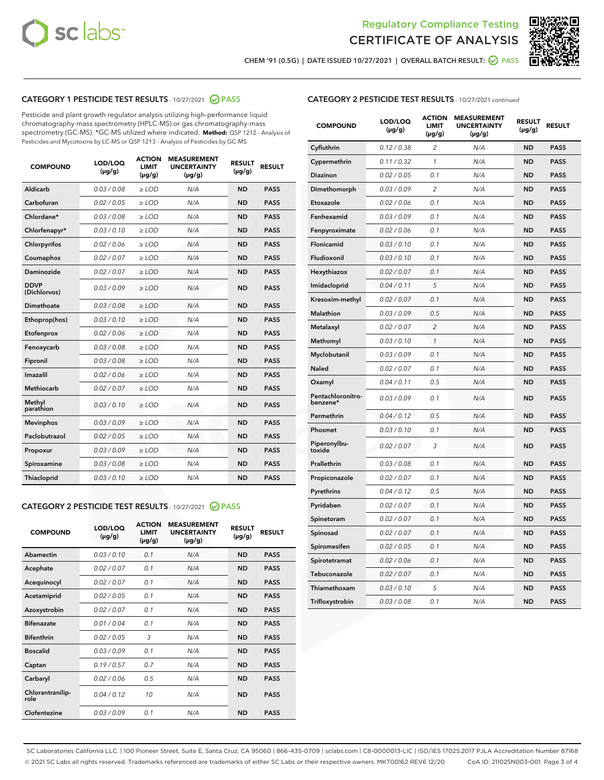



CHEM '91 (0.5G) | DATE ISSUED 10/27/2021 | OVERALL BATCH RESULT: 2 PASS

### CATEGORY 1 PESTICIDE TEST RESULTS - 10/27/2021 2 PASS

Pesticide and plant growth regulator analysis utilizing high-performance liquid chromatography-mass spectrometry (HPLC-MS) or gas chromatography-mass spectrometry (GC-MS). \*GC-MS utilized where indicated. **Method:** QSP 1212 - Analysis of Pesticides and Mycotoxins by LC-MS or QSP 1213 - Analysis of Pesticides by GC-MS

| <b>COMPOUND</b>             | LOD/LOQ<br>$(\mu g/g)$ | <b>ACTION</b><br><b>LIMIT</b><br>$(\mu g/g)$ | <b>MEASUREMENT</b><br><b>UNCERTAINTY</b><br>$(\mu g/g)$ | <b>RESULT</b><br>$(\mu g/g)$ | <b>RESULT</b> |
|-----------------------------|------------------------|----------------------------------------------|---------------------------------------------------------|------------------------------|---------------|
| Aldicarb                    | 0.03/0.08              | $>$ LOD                                      | N/A                                                     | <b>ND</b>                    | <b>PASS</b>   |
| Carbofuran                  | 0.02 / 0.05            | $\ge$ LOD                                    | N/A                                                     | <b>ND</b>                    | <b>PASS</b>   |
| Chlordane*                  | 0.03/0.08              | $>$ LOD                                      | N/A                                                     | <b>ND</b>                    | <b>PASS</b>   |
| Chlorfenapyr*               | 0.03 / 0.10            | $\ge$ LOD                                    | N/A                                                     | <b>ND</b>                    | <b>PASS</b>   |
| Chlorpyrifos                | 0.02 / 0.06            | $\ge$ LOD                                    | N/A                                                     | <b>ND</b>                    | <b>PASS</b>   |
| Coumaphos                   | 0.02 / 0.07            | $\ge$ LOD                                    | N/A                                                     | <b>ND</b>                    | <b>PASS</b>   |
| Daminozide                  | 0.02 / 0.07            | $\ge$ LOD                                    | N/A                                                     | <b>ND</b>                    | <b>PASS</b>   |
| <b>DDVP</b><br>(Dichlorvos) | 0.03/0.09              | $\ge$ LOD                                    | N/A                                                     | <b>ND</b>                    | <b>PASS</b>   |
| <b>Dimethoate</b>           | 0.03/0.08              | $\ge$ LOD                                    | N/A                                                     | <b>ND</b>                    | <b>PASS</b>   |
| Ethoprop(hos)               | 0.03/0.10              | $\ge$ LOD                                    | N/A                                                     | <b>ND</b>                    | <b>PASS</b>   |
| Etofenprox                  | 0.02 / 0.06            | $\ge$ LOD                                    | N/A                                                     | <b>ND</b>                    | <b>PASS</b>   |
| Fenoxycarb                  | 0.03 / 0.08            | $\ge$ LOD                                    | N/A                                                     | <b>ND</b>                    | <b>PASS</b>   |
| Fipronil                    | 0.03/0.08              | $>$ LOD                                      | N/A                                                     | <b>ND</b>                    | <b>PASS</b>   |
| Imazalil                    | 0.02 / 0.06            | $\ge$ LOD                                    | N/A                                                     | <b>ND</b>                    | <b>PASS</b>   |
| Methiocarb                  | 0.02 / 0.07            | $\ge$ LOD                                    | N/A                                                     | <b>ND</b>                    | <b>PASS</b>   |
| Methyl<br>parathion         | 0.03/0.10              | $\ge$ LOD                                    | N/A                                                     | <b>ND</b>                    | <b>PASS</b>   |
| <b>Mevinphos</b>            | 0.03/0.09              | $\ge$ LOD                                    | N/A                                                     | <b>ND</b>                    | <b>PASS</b>   |
| Paclobutrazol               | 0.02 / 0.05            | $>$ LOD                                      | N/A                                                     | <b>ND</b>                    | <b>PASS</b>   |
| Propoxur                    | 0.03/0.09              | $\ge$ LOD                                    | N/A                                                     | <b>ND</b>                    | <b>PASS</b>   |
| Spiroxamine                 | 0.03 / 0.08            | $\ge$ LOD                                    | N/A                                                     | <b>ND</b>                    | <b>PASS</b>   |
| Thiacloprid                 | 0.03/0.10              | $\ge$ LOD                                    | N/A                                                     | <b>ND</b>                    | <b>PASS</b>   |
|                             |                        |                                              |                                                         |                              |               |

#### CATEGORY 2 PESTICIDE TEST RESULTS - 10/27/2021 @ PASS

| <b>COMPOUND</b>          | LOD/LOO<br>$(\mu g/g)$ | <b>ACTION</b><br>LIMIT<br>$(\mu g/g)$ | <b>MEASUREMENT</b><br><b>UNCERTAINTY</b><br>$(\mu g/g)$ | <b>RESULT</b><br>$(\mu g/g)$ | <b>RESULT</b> |  |
|--------------------------|------------------------|---------------------------------------|---------------------------------------------------------|------------------------------|---------------|--|
| Abamectin                | 0.03/0.10              | 0.1                                   | N/A                                                     | <b>ND</b>                    | <b>PASS</b>   |  |
| Acephate                 | 0.02/0.07              | 0.1                                   | N/A                                                     | <b>ND</b>                    | <b>PASS</b>   |  |
| Acequinocyl              | 0.02/0.07              | 0.1                                   | N/A                                                     | <b>ND</b>                    | <b>PASS</b>   |  |
| Acetamiprid              | 0.02 / 0.05            | 0.1                                   | N/A                                                     | <b>ND</b>                    | <b>PASS</b>   |  |
| Azoxystrobin             | 0.02/0.07              | 0.1                                   | N/A                                                     | <b>ND</b>                    | <b>PASS</b>   |  |
| <b>Bifenazate</b>        | 0.01 / 0.04            | 0.1                                   | N/A                                                     | <b>ND</b>                    | <b>PASS</b>   |  |
| <b>Bifenthrin</b>        | 0.02 / 0.05            | 3                                     | N/A                                                     | <b>ND</b>                    | <b>PASS</b>   |  |
| <b>Boscalid</b>          | 0.03/0.09              | 0.1                                   | N/A                                                     | <b>ND</b>                    | <b>PASS</b>   |  |
| Captan                   | 0.19/0.57              | 0.7                                   | N/A                                                     | <b>ND</b>                    | <b>PASS</b>   |  |
| Carbaryl                 | 0.02/0.06              | 0.5                                   | N/A                                                     | <b>ND</b>                    | <b>PASS</b>   |  |
| Chlorantranilip-<br>role | 0.04/0.12              | 10                                    | N/A                                                     | <b>ND</b>                    | <b>PASS</b>   |  |
| Clofentezine             | 0.03/0.09              | 0.1                                   | N/A                                                     | <b>ND</b>                    | <b>PASS</b>   |  |

|  | <b>CATEGORY 2 PESTICIDE TEST RESULTS</b> - 10/27/2021 continued |  |
|--|-----------------------------------------------------------------|--|
|--|-----------------------------------------------------------------|--|

| <b>COMPOUND</b>               | LOD/LOQ<br>(µg/g) | <b>ACTION</b><br><b>LIMIT</b><br>$(\mu g/g)$ | <b>MEASUREMENT</b><br><b>UNCERTAINTY</b><br>$(\mu g/g)$ | <b>RESULT</b><br>(µg/g) | <b>RESULT</b> |
|-------------------------------|-------------------|----------------------------------------------|---------------------------------------------------------|-------------------------|---------------|
| Cyfluthrin                    | 0.12 / 0.38       | $\overline{c}$                               | N/A                                                     | ND                      | <b>PASS</b>   |
| Cypermethrin                  | 0.11 / 0.32       | $\mathcal{I}$                                | N/A                                                     | ND                      | <b>PASS</b>   |
| <b>Diazinon</b>               | 0.02 / 0.05       | 0.1                                          | N/A                                                     | <b>ND</b>               | <b>PASS</b>   |
| Dimethomorph                  | 0.03 / 0.09       | 2                                            | N/A                                                     | ND                      | <b>PASS</b>   |
| Etoxazole                     | 0.02 / 0.06       | 0.1                                          | N/A                                                     | ND                      | <b>PASS</b>   |
| Fenhexamid                    | 0.03 / 0.09       | 0.1                                          | N/A                                                     | ND                      | <b>PASS</b>   |
| Fenpyroximate                 | 0.02 / 0.06       | 0.1                                          | N/A                                                     | <b>ND</b>               | <b>PASS</b>   |
| Flonicamid                    | 0.03 / 0.10       | 0.1                                          | N/A                                                     | ND                      | <b>PASS</b>   |
| Fludioxonil                   | 0.03 / 0.10       | 0.1                                          | N/A                                                     | ND                      | <b>PASS</b>   |
| Hexythiazox                   | 0.02 / 0.07       | 0.1                                          | N/A                                                     | ND                      | <b>PASS</b>   |
| Imidacloprid                  | 0.04 / 0.11       | 5                                            | N/A                                                     | ND                      | <b>PASS</b>   |
| Kresoxim-methyl               | 0.02 / 0.07       | 0.1                                          | N/A                                                     | ND                      | <b>PASS</b>   |
| <b>Malathion</b>              | 0.03 / 0.09       | 0.5                                          | N/A                                                     | <b>ND</b>               | <b>PASS</b>   |
| Metalaxyl                     | 0.02 / 0.07       | $\overline{c}$                               | N/A                                                     | <b>ND</b>               | <b>PASS</b>   |
| Methomyl                      | 0.03 / 0.10       | $\mathcal{I}$                                | N/A                                                     | <b>ND</b>               | <b>PASS</b>   |
| Myclobutanil                  | 0.03 / 0.09       | 0.1                                          | N/A                                                     | <b>ND</b>               | <b>PASS</b>   |
| Naled                         | 0.02 / 0.07       | 0.1                                          | N/A                                                     | <b>ND</b>               | <b>PASS</b>   |
| Oxamyl                        | 0.04 / 0.11       | 0.5                                          | N/A                                                     | <b>ND</b>               | <b>PASS</b>   |
| Pentachloronitro-<br>benzene* | 0.03 / 0.09       | 0.1                                          | N/A                                                     | <b>ND</b>               | <b>PASS</b>   |
| Permethrin                    | 0.04 / 0.12       | 0.5                                          | N/A                                                     | <b>ND</b>               | <b>PASS</b>   |
| Phosmet                       | 0.03 / 0.10       | 0.1                                          | N/A                                                     | <b>ND</b>               | <b>PASS</b>   |
| Piperonylbu-<br>toxide        | 0.02 / 0.07       | 3                                            | N/A                                                     | <b>ND</b>               | <b>PASS</b>   |
| Prallethrin                   | 0.03 / 0.08       | 0.1                                          | N/A                                                     | ND                      | <b>PASS</b>   |
| Propiconazole                 | 0.02 / 0.07       | 0.1                                          | N/A                                                     | <b>ND</b>               | <b>PASS</b>   |
| Pyrethrins                    | 0.04 / 0.12       | 0.5                                          | N/A                                                     | ND                      | <b>PASS</b>   |
| Pyridaben                     | 0.02 / 0.07       | 0.1                                          | N/A                                                     | ND                      | <b>PASS</b>   |
| Spinetoram                    | 0.02 / 0.07       | 0.1                                          | N/A                                                     | <b>ND</b>               | <b>PASS</b>   |
| Spinosad                      | 0.02 / 0.07       | 0.1                                          | N/A                                                     | <b>ND</b>               | <b>PASS</b>   |
| Spiromesifen                  | 0.02 / 0.05       | 0.1                                          | N/A                                                     | ND                      | <b>PASS</b>   |
| Spirotetramat                 | 0.02 / 0.06       | 0.1                                          | N/A                                                     | <b>ND</b>               | <b>PASS</b>   |
| Tebuconazole                  | 0.02 / 0.07       | 0.1                                          | N/A                                                     | ND                      | <b>PASS</b>   |
| Thiamethoxam                  | 0.03 / 0.10       | 5                                            | N/A                                                     | ND                      | <b>PASS</b>   |
| Trifloxystrobin               | 0.03 / 0.08       | 0.1                                          | N/A                                                     | ND                      | <b>PASS</b>   |

SC Laboratories California LLC. | 100 Pioneer Street, Suite E, Santa Cruz, CA 95060 | 866-435-0709 | sclabs.com | C8-0000013-LIC | ISO/IES 17025:2017 PJLA Accreditation Number 87168 © 2021 SC Labs all rights reserved. Trademarks referenced are trademarks of either SC Labs or their respective owners. MKT00162 REV6 12/20 CoA ID: 211025N003-001 Page 3 of 4